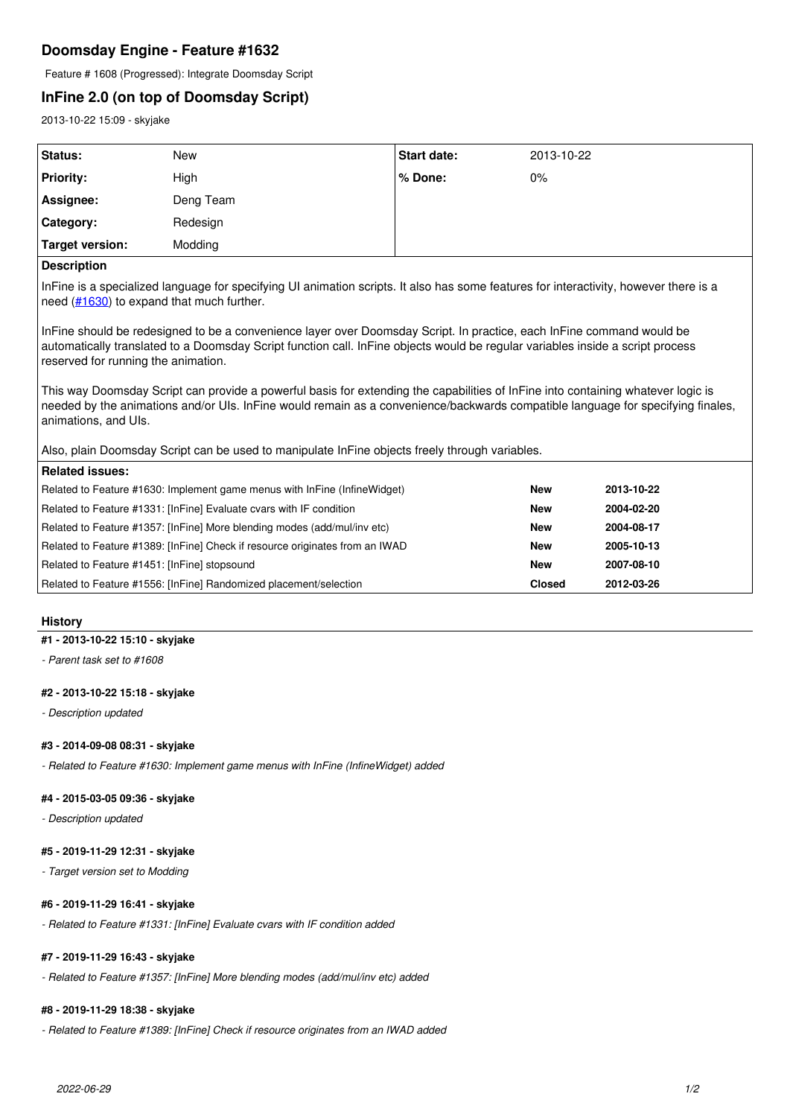# **Doomsday Engine - Feature #1632**

Feature # 1608 (Progressed): Integrate Doomsday Script

# **InFine 2.0 (on top of Doomsday Script)**

2013-10-22 15:09 - skyjake

| Status:          | New       | <b>Start date:</b> | 2013-10-22 |
|------------------|-----------|--------------------|------------|
| <b>Priority:</b> | High      | % Done:            | 0%         |
| Assignee:        | Deng Team |                    |            |
| Category:        | Redesign  |                    |            |
| Target version:  | Modding   |                    |            |
|                  |           |                    |            |

## **Description**

InFine is a specialized language for specifying UI animation scripts. It also has some features for interactivity, however there is a need ([#1630\)](http://skyjake.fi/issues/1630) to expand that much further.

InFine should be redesigned to be a convenience layer over Doomsday Script. In practice, each InFine command would be automatically translated to a Doomsday Script function call. InFine objects would be regular variables inside a script process reserved for running the animation.

This way Doomsday Script can provide a powerful basis for extending the capabilities of InFine into containing whatever logic is needed by the animations and/or UIs. InFine would remain as a convenience/backwards compatible language for specifying finales, animations, and UIs.

## Also, plain Doomsday Script can be used to manipulate InFine objects freely through variables.

| <b>Related issues:</b>                                                       |               |            |  |  |
|------------------------------------------------------------------------------|---------------|------------|--|--|
| Related to Feature #1630: Implement game menus with InFine (InfineWidget)    | <b>New</b>    | 2013-10-22 |  |  |
| Related to Feature #1331: [InFine] Evaluate cvars with IF condition          | <b>New</b>    | 2004-02-20 |  |  |
| Related to Feature #1357: [InFine] More blending modes (add/mul/inv etc)     | <b>New</b>    | 2004-08-17 |  |  |
| Related to Feature #1389: [InFine] Check if resource originates from an IWAD | <b>New</b>    | 2005-10-13 |  |  |
| Related to Feature #1451: [InFine] stopsound                                 | <b>New</b>    | 2007-08-10 |  |  |
| Related to Feature #1556: [InFine] Randomized placement/selection            | <b>Closed</b> | 2012-03-26 |  |  |

## **History**

### **#1 - 2013-10-22 15:10 - skyjake**

*- Parent task set to #1608*

## **#2 - 2013-10-22 15:18 - skyjake**

*- Description updated*

## **#3 - 2014-09-08 08:31 - skyjake**

*- Related to Feature #1630: Implement game menus with InFine (InfineWidget) added*

#### **#4 - 2015-03-05 09:36 - skyjake**

*- Description updated*

### **#5 - 2019-11-29 12:31 - skyjake**

*- Target version set to Modding*

#### **#6 - 2019-11-29 16:41 - skyjake**

*- Related to Feature #1331: [InFine] Evaluate cvars with IF condition added*

## **#7 - 2019-11-29 16:43 - skyjake**

*- Related to Feature #1357: [InFine] More blending modes (add/mul/inv etc) added*

## **#8 - 2019-11-29 18:38 - skyjake**

*- Related to Feature #1389: [InFine] Check if resource originates from an IWAD added*